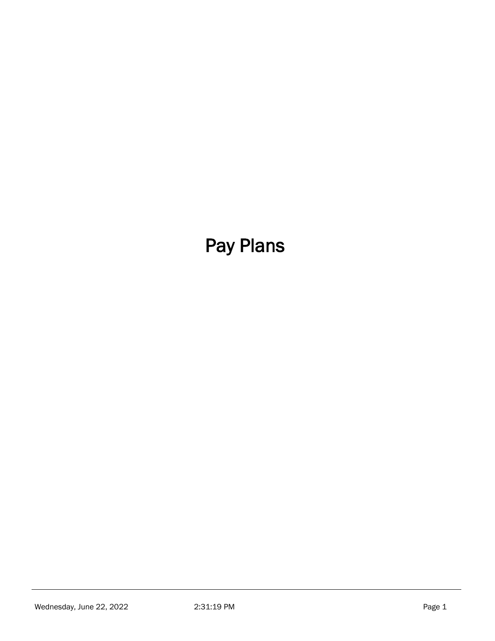# Pay Plans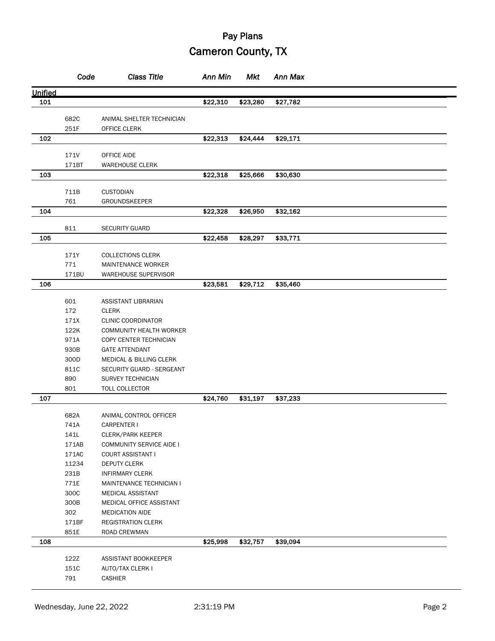|         | Code          | <b>Class Title</b>                                | Ann Min  | Mkt      | Ann Max  |  |
|---------|---------------|---------------------------------------------------|----------|----------|----------|--|
| Unified |               |                                                   |          |          |          |  |
| 101     |               |                                                   | \$22,310 | \$23,280 | \$27,782 |  |
|         | 682C          | ANIMAL SHELTER TECHNICIAN                         |          |          |          |  |
|         | 251F          | OFFICE CLERK                                      |          |          |          |  |
| 102     |               |                                                   | \$22,313 | \$24,444 | \$29,171 |  |
|         |               |                                                   |          |          |          |  |
|         | 171V          | OFFICE AIDE                                       |          |          |          |  |
|         | 171BT         | <b>WAREHOUSE CLERK</b>                            |          |          |          |  |
| 103     |               |                                                   | \$22,318 | \$25,666 | \$30,630 |  |
|         | 711B          | <b>CUSTODIAN</b>                                  |          |          |          |  |
|         | 761           | GROUNDSKEEPER                                     |          |          |          |  |
| 104     |               |                                                   | \$22,328 | \$26,950 | \$32,162 |  |
|         |               |                                                   |          |          |          |  |
|         | 811           | <b>SECURITY GUARD</b>                             |          |          |          |  |
| 105     |               |                                                   | \$22,458 | \$28,297 | \$33,771 |  |
|         | 171Y          | <b>COLLECTIONS CLERK</b>                          |          |          |          |  |
|         | 771           | MAINTENANCE WORKER                                |          |          |          |  |
|         | 171BU         | <b>WAREHOUSE SUPERVISOR</b>                       |          |          |          |  |
| 106     |               |                                                   | \$23,581 | \$29,712 | \$35,460 |  |
|         |               |                                                   |          |          |          |  |
|         | 601           | ASSISTANT LIBRARIAN                               |          |          |          |  |
|         | 172           | <b>CLERK</b>                                      |          |          |          |  |
|         | 171X<br>122K  | <b>CLINIC COORDINATOR</b>                         |          |          |          |  |
|         | 971A          | COMMUNITY HEALTH WORKER<br>COPY CENTER TECHNICIAN |          |          |          |  |
|         | 930B          | <b>GATE ATTENDANT</b>                             |          |          |          |  |
|         | 300D          | <b>MEDICAL &amp; BILLING CLERK</b>                |          |          |          |  |
|         | 811C          | SECURITY GUARD - SERGEANT                         |          |          |          |  |
|         | 890           | SURVEY TECHNICIAN                                 |          |          |          |  |
|         | 801           | TOLL COLLECTOR                                    |          |          |          |  |
| 107     |               |                                                   | \$24,760 | \$31,197 | \$37,233 |  |
|         |               |                                                   |          |          |          |  |
|         | 682A          | ANIMAL CONTROL OFFICER                            |          |          |          |  |
|         | 741A          | <b>CARPENTER I</b>                                |          |          |          |  |
|         | 141L<br>171AB | CLERK/PARK KEEPER<br>COMMUNITY SERVICE AIDE I     |          |          |          |  |
|         | 171AC         | COURT ASSISTANT I                                 |          |          |          |  |
|         | 11234         | DEPUTY CLERK                                      |          |          |          |  |
|         | 231B          | <b>INFIRMARY CLERK</b>                            |          |          |          |  |
|         | 771E          | MAINTENANCE TECHNICIAN I                          |          |          |          |  |
|         | 300C          | MEDICAL ASSISTANT                                 |          |          |          |  |
|         | 300B          | MEDICAL OFFICE ASSISTANT                          |          |          |          |  |
|         | 302           | <b>MEDICATION AIDE</b>                            |          |          |          |  |
|         | 171BF         | <b>REGISTRATION CLERK</b>                         |          |          |          |  |
|         | 851E          | ROAD CREWMAN                                      |          |          |          |  |
| 108     |               |                                                   | \$25,998 | \$32,757 | \$39,094 |  |
|         | 122Z          | ASSISTANT BOOKKEEPER                              |          |          |          |  |
|         | 151C          | AUTO/TAX CLERK I                                  |          |          |          |  |
|         | 791           | CASHIER                                           |          |          |          |  |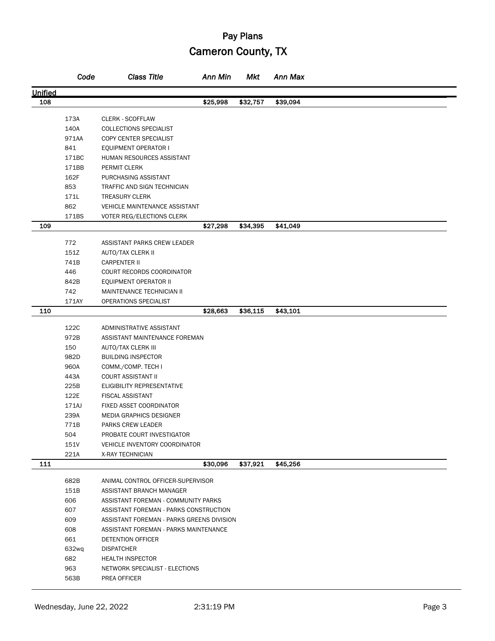|                | Code  | <b>Class Title</b>                                            | Ann Min  | Mkt      | Ann Max  |  |
|----------------|-------|---------------------------------------------------------------|----------|----------|----------|--|
| <b>Unified</b> |       |                                                               |          |          |          |  |
| 108            |       |                                                               | \$25,998 | \$32,757 | \$39,094 |  |
|                |       |                                                               |          |          |          |  |
|                | 173A  | <b>CLERK - SCOFFLAW</b>                                       |          |          |          |  |
|                | 140A  | COLLECTIONS SPECIALIST                                        |          |          |          |  |
|                | 971AA | COPY CENTER SPECIALIST                                        |          |          |          |  |
|                | 841   | EQUIPMENT OPERATOR I                                          |          |          |          |  |
|                | 171BC | HUMAN RESOURCES ASSISTANT                                     |          |          |          |  |
|                | 171BB | PERMIT CLERK                                                  |          |          |          |  |
|                | 162F  | PURCHASING ASSISTANT                                          |          |          |          |  |
|                | 853   | TRAFFIC AND SIGN TECHNICIAN                                   |          |          |          |  |
|                | 171L  | <b>TREASURY CLERK</b>                                         |          |          |          |  |
|                | 862   | VEHICLE MAINTENANCE ASSISTANT                                 |          |          |          |  |
| 109            | 171BS | VOTER REG/ELECTIONS CLERK                                     | \$27,298 | \$34,395 | \$41,049 |  |
|                |       |                                                               |          |          |          |  |
|                | 772   | ASSISTANT PARKS CREW LEADER                                   |          |          |          |  |
|                | 151Z  | AUTO/TAX CLERK II                                             |          |          |          |  |
|                | 741B  | <b>CARPENTER II</b>                                           |          |          |          |  |
|                | 446   | COURT RECORDS COORDINATOR                                     |          |          |          |  |
|                | 842B  | EQUIPMENT OPERATOR II                                         |          |          |          |  |
|                | 742   | MAINTENANCE TECHNICIAN II                                     |          |          |          |  |
|                | 171AY | OPERATIONS SPECIALIST                                         |          |          |          |  |
| 110            |       |                                                               | \$28,663 | \$36,115 | \$43,101 |  |
|                | 122C  | ADMINISTRATIVE ASSISTANT                                      |          |          |          |  |
|                | 972B  | ASSISTANT MAINTENANCE FOREMAN                                 |          |          |          |  |
|                | 150   | AUTO/TAX CLERK III                                            |          |          |          |  |
|                | 982D  | <b>BUILDING INSPECTOR</b>                                     |          |          |          |  |
|                | 960A  | COMM./COMP. TECH I                                            |          |          |          |  |
|                | 443A  | <b>COURT ASSISTANT II</b>                                     |          |          |          |  |
|                | 225B  | ELIGIBILITY REPRESENTATIVE                                    |          |          |          |  |
|                | 122E  | <b>FISCAL ASSISTANT</b>                                       |          |          |          |  |
|                | 171AJ | FIXED ASSET COORDINATOR                                       |          |          |          |  |
|                | 239A  | <b>MEDIA GRAPHICS DESIGNER</b>                                |          |          |          |  |
|                | 771B  | PARKS CREW LEADER                                             |          |          |          |  |
|                | 504   | PROBATE COURT INVESTIGATOR                                    |          |          |          |  |
|                | 151V  | VEHICLE INVENTORY COORDINATOR                                 |          |          |          |  |
|                | 221A  | X-RAY TECHNICIAN                                              |          |          |          |  |
| 111            |       |                                                               | \$30,096 | \$37,921 | \$45,256 |  |
|                | 682B  |                                                               |          |          |          |  |
|                | 151B  | ANIMAL CONTROL OFFICER-SUPERVISOR<br>ASSISTANT BRANCH MANAGER |          |          |          |  |
|                | 606   | ASSISTANT FOREMAN - COMMUNITY PARKS                           |          |          |          |  |
|                | 607   | ASSISTANT FOREMAN - PARKS CONSTRUCTION                        |          |          |          |  |
|                | 609   | ASSISTANT FOREMAN - PARKS GREENS DIVISION                     |          |          |          |  |
|                | 608   | ASSISTANT FOREMAN - PARKS MAINTENANCE                         |          |          |          |  |
|                | 661   | <b>DETENTION OFFICER</b>                                      |          |          |          |  |
|                | 632wq | <b>DISPATCHER</b>                                             |          |          |          |  |
|                | 682   | <b>HEALTH INSPECTOR</b>                                       |          |          |          |  |
|                | 963   | NETWORK SPECIALIST - ELECTIONS                                |          |          |          |  |
|                | 563B  | PREA OFFICER                                                  |          |          |          |  |
|                |       |                                                               |          |          |          |  |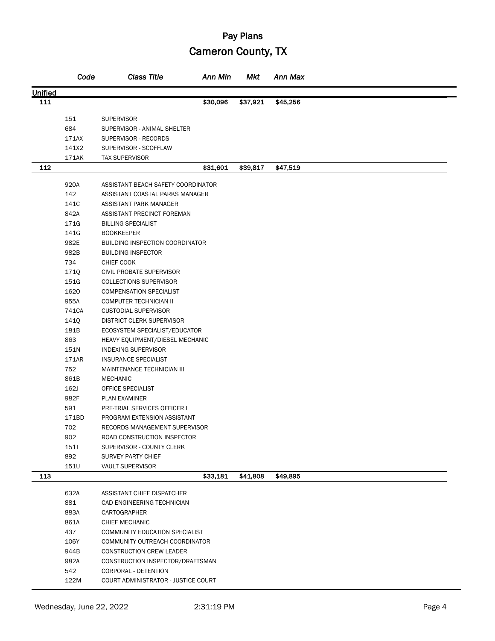|         | Code  | <b>Class Title</b>                     | Ann Min  | Mkt      | Ann Max  |  |
|---------|-------|----------------------------------------|----------|----------|----------|--|
| Unified |       |                                        |          |          |          |  |
| 111     |       |                                        | \$30,096 | \$37,921 | \$45,256 |  |
|         |       |                                        |          |          |          |  |
|         | 151   | <b>SUPERVISOR</b>                      |          |          |          |  |
|         | 684   | SUPERVISOR - ANIMAL SHELTER            |          |          |          |  |
|         | 171AX | SUPERVISOR - RECORDS                   |          |          |          |  |
|         | 141X2 | SUPERVISOR - SCOFFLAW                  |          |          |          |  |
|         | 171AK | <b>TAX SUPERVISOR</b>                  |          |          |          |  |
| 112     |       |                                        | \$31,601 | \$39,817 | \$47,519 |  |
|         | 920A  | ASSISTANT BEACH SAFETY COORDINATOR     |          |          |          |  |
|         | 142   | ASSISTANT COASTAL PARKS MANAGER        |          |          |          |  |
|         | 141C  | ASSISTANT PARK MANAGER                 |          |          |          |  |
|         | 842A  | ASSISTANT PRECINCT FOREMAN             |          |          |          |  |
|         | 171G  | <b>BILLING SPECIALIST</b>              |          |          |          |  |
|         | 141G  | <b>BOOKKEEPER</b>                      |          |          |          |  |
|         | 982E  | <b>BUILDING INSPECTION COORDINATOR</b> |          |          |          |  |
|         | 982B  | <b>BUILDING INSPECTOR</b>              |          |          |          |  |
|         | 734   | CHIEF COOK                             |          |          |          |  |
|         | 171Q  | CIVIL PROBATE SUPERVISOR               |          |          |          |  |
|         | 151G  | <b>COLLECTIONS SUPERVISOR</b>          |          |          |          |  |
|         | 1620  | <b>COMPENSATION SPECIALIST</b>         |          |          |          |  |
|         | 955A  | COMPUTER TECHNICIAN II                 |          |          |          |  |
|         | 741CA | <b>CUSTODIAL SUPERVISOR</b>            |          |          |          |  |
|         | 141Q  | <b>DISTRICT CLERK SUPERVISOR</b>       |          |          |          |  |
|         | 181B  | ECOSYSTEM SPECIALIST/EDUCATOR          |          |          |          |  |
|         | 863   | HEAVY EQUIPMENT/DIESEL MECHANIC        |          |          |          |  |
|         | 151N  | <b>INDEXING SUPERVISOR</b>             |          |          |          |  |
|         | 171AR | INSURANCE SPECIALIST                   |          |          |          |  |
|         | 752   | MAINTENANCE TECHNICIAN III             |          |          |          |  |
|         | 861B  | <b>MECHANIC</b>                        |          |          |          |  |
|         | 162J  | OFFICE SPECIALIST                      |          |          |          |  |
|         | 982F  | PLAN EXAMINER                          |          |          |          |  |
|         | 591   | PRE-TRIAL SERVICES OFFICER I           |          |          |          |  |
|         | 171BD | PROGRAM EXTENSION ASSISTANT            |          |          |          |  |
|         | 702   | RECORDS MANAGEMENT SUPERVISOR          |          |          |          |  |
|         | 902   | ROAD CONSTRUCTION INSPECTOR            |          |          |          |  |
|         | 151T  | SUPERVISOR - COUNTY CLERK              |          |          |          |  |
|         | 892   | <b>SURVEY PARTY CHIEF</b>              |          |          |          |  |
|         | 151U  | <b>VAULT SUPERVISOR</b>                |          |          |          |  |
| 113     |       |                                        | \$33,181 | \$41,808 | \$49,895 |  |
|         |       |                                        |          |          |          |  |
|         | 632A  | ASSISTANT CHIEF DISPATCHER             |          |          |          |  |
|         | 881   | CAD ENGINEERING TECHNICIAN             |          |          |          |  |
|         | 883A  | CARTOGRAPHER                           |          |          |          |  |
|         | 861A  | CHIEF MECHANIC                         |          |          |          |  |
|         | 437   | COMMUNITY EDUCATION SPECIALIST         |          |          |          |  |
|         | 106Y  | COMMUNITY OUTREACH COORDINATOR         |          |          |          |  |
|         | 944B  | CONSTRUCTION CREW LEADER               |          |          |          |  |
|         | 982A  | CONSTRUCTION INSPECTOR/DRAFTSMAN       |          |          |          |  |
|         | 542   | CORPORAL - DETENTION                   |          |          |          |  |
|         | 122M  | COURT ADMINISTRATOR - JUSTICE COURT    |          |          |          |  |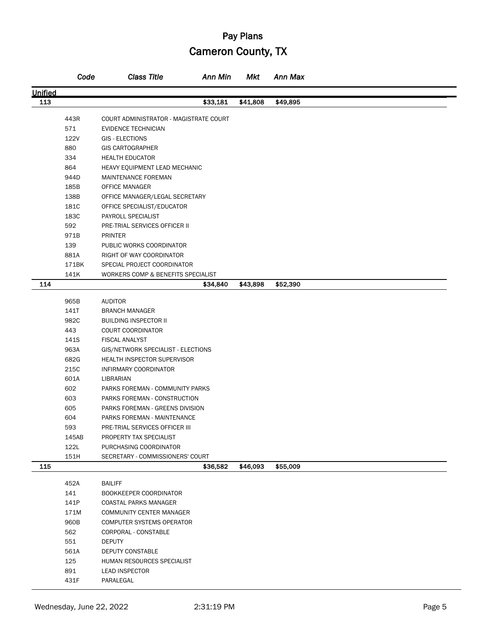|         | Code  | <b>Class Title</b>                     | <b>Ann Min</b> | Mkt      | Ann Max  |  |
|---------|-------|----------------------------------------|----------------|----------|----------|--|
| Unified |       |                                        |                |          |          |  |
| 113     |       |                                        | \$33,181       | \$41,808 | \$49,895 |  |
|         | 443R  | COURT ADMINISTRATOR - MAGISTRATE COURT |                |          |          |  |
|         | 571   | <b>EVIDENCE TECHNICIAN</b>             |                |          |          |  |
|         | 122V  | GIS - ELECTIONS                        |                |          |          |  |
|         | 880   | <b>GIS CARTOGRAPHER</b>                |                |          |          |  |
|         | 334   | <b>HEALTH EDUCATOR</b>                 |                |          |          |  |
|         | 864   | HEAVY EQUIPMENT LEAD MECHANIC          |                |          |          |  |
|         | 944D  | MAINTENANCE FOREMAN                    |                |          |          |  |
|         | 185B  | OFFICE MANAGER                         |                |          |          |  |
|         | 138B  | OFFICE MANAGER/LEGAL SECRETARY         |                |          |          |  |
|         | 181C  |                                        |                |          |          |  |
|         | 183C  | OFFICE SPECIALIST/EDUCATOR             |                |          |          |  |
|         | 592   | PAYROLL SPECIALIST                     |                |          |          |  |
|         |       | PRE-TRIAL SERVICES OFFICER II          |                |          |          |  |
|         | 971B  | <b>PRINTER</b>                         |                |          |          |  |
|         | 139   | PUBLIC WORKS COORDINATOR               |                |          |          |  |
|         | 881A  | RIGHT OF WAY COORDINATOR               |                |          |          |  |
|         | 171BK | SPECIAL PROJECT COORDINATOR            |                |          |          |  |
|         | 141K  | WORKERS COMP & BENEFITS SPECIALIST     |                |          |          |  |
| 114     |       |                                        | \$34,840       | \$43,898 | \$52,390 |  |
|         | 965B  | <b>AUDITOR</b>                         |                |          |          |  |
|         | 141T  | <b>BRANCH MANAGER</b>                  |                |          |          |  |
|         | 982C  | <b>BUILDING INSPECTOR II</b>           |                |          |          |  |
|         | 443   | <b>COURT COORDINATOR</b>               |                |          |          |  |
|         | 141S  | <b>FISCAL ANALYST</b>                  |                |          |          |  |
|         | 963A  | GIS/NETWORK SPECIALIST - ELECTIONS     |                |          |          |  |
|         | 682G  | <b>HEALTH INSPECTOR SUPERVISOR</b>     |                |          |          |  |
|         | 215C  | INFIRMARY COORDINATOR                  |                |          |          |  |
|         | 601A  | LIBRARIAN                              |                |          |          |  |
|         | 602   | PARKS FOREMAN - COMMUNITY PARKS        |                |          |          |  |
|         | 603   | PARKS FOREMAN - CONSTRUCTION           |                |          |          |  |
|         | 605   | PARKS FOREMAN - GREENS DIVISION        |                |          |          |  |
|         | 604   | PARKS FOREMAN - MAINTENANCE            |                |          |          |  |
|         | 593   | PRE-TRIAL SERVICES OFFICER III         |                |          |          |  |
|         | 145AB | PROPERTY TAX SPECIALIST                |                |          |          |  |
|         | 122L  | PURCHASING COORDINATOR                 |                |          |          |  |
|         | 151H  | SECRETARY - COMMISSIONERS' COURT       |                |          |          |  |
| 115     |       |                                        | \$36,582       | \$46,093 | \$55,009 |  |
|         |       |                                        |                |          |          |  |
|         | 452A  | <b>BAILIFF</b>                         |                |          |          |  |
|         | 141   | BOOKKEEPER COORDINATOR                 |                |          |          |  |
|         | 141P  | COASTAL PARKS MANAGER                  |                |          |          |  |
|         | 171M  | COMMUNITY CENTER MANAGER               |                |          |          |  |
|         | 960B  | <b>COMPUTER SYSTEMS OPERATOR</b>       |                |          |          |  |
|         | 562   | CORPORAL - CONSTABLE                   |                |          |          |  |
|         | 551   | <b>DEPUTY</b>                          |                |          |          |  |
|         | 561A  | DEPUTY CONSTABLE                       |                |          |          |  |
|         | 125   | HUMAN RESOURCES SPECIALIST             |                |          |          |  |
|         | 891   | <b>LEAD INSPECTOR</b>                  |                |          |          |  |
|         | 431F  | PARALEGAL                              |                |          |          |  |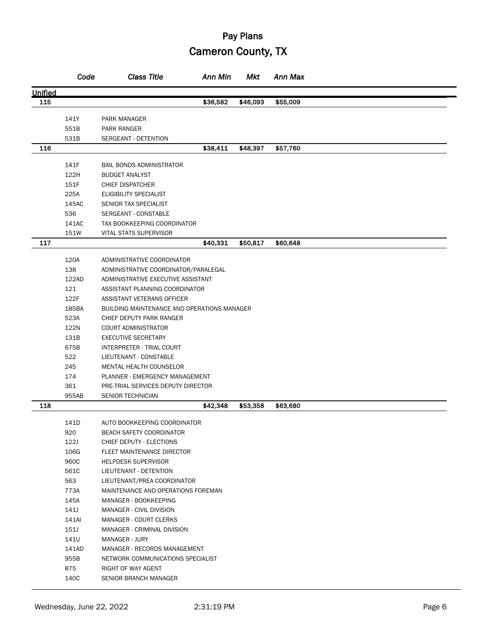|         | Code          | <b>Class Title</b>                          | <b>Ann Min</b> | <b>Mkt</b> | Ann Max  |  |
|---------|---------------|---------------------------------------------|----------------|------------|----------|--|
| Unified |               |                                             |                |            |          |  |
| 115     |               |                                             | \$36,582       | \$46,093   | \$55,009 |  |
|         |               |                                             |                |            |          |  |
|         | 141Y          | PARK MANAGER                                |                |            |          |  |
|         | 551B          | PARK RANGER                                 |                |            |          |  |
|         | 531B          | SERGEANT - DETENTION                        |                |            |          |  |
| 116     |               |                                             | \$38,411       | \$48,397   | \$57,760 |  |
|         | 141F          | <b>BAIL BONDS ADMINISTRATOR</b>             |                |            |          |  |
|         | 122H          | <b>BUDGET ANALYST</b>                       |                |            |          |  |
|         | 151F          | <b>CHIEF DISPATCHER</b>                     |                |            |          |  |
|         | 225A          | ELIGIBILITY SPECIALIST                      |                |            |          |  |
|         | 145AC         | SENIOR TAX SPECIALIST                       |                |            |          |  |
|         | 536           | SERGEANT - CONSTABLE                        |                |            |          |  |
|         | 141AC         | TAX BOOKKEEPING COORDINATOR                 |                |            |          |  |
|         | 151W          | <b>VITAL STATS SUPERVISOR</b>               |                |            |          |  |
| 117     |               |                                             | \$40,331       | \$50,817   | \$60,648 |  |
|         |               |                                             |                |            |          |  |
|         | 120A          | ADMINISTRATIVE COORDINATOR                  |                |            |          |  |
|         | 138           | ADMINISTRATIVE COORDINATOR/PARALEGAL        |                |            |          |  |
|         | 122AD         | ADMINISTRATIVE EXECUTIVE ASSISTANT          |                |            |          |  |
|         | 121           | ASSISTANT PLANNING COORDINATOR              |                |            |          |  |
|         | 122F          | ASSISTANT VETERANS OFFICER                  |                |            |          |  |
|         | 185BA         | BUILDING MAINTENANCE AND OPERATIONS MANAGER |                |            |          |  |
|         | 523A          | CHIEF DEPUTY PARK RANGER                    |                |            |          |  |
|         | 122N          | <b>COURT ADMINISTRATOR</b>                  |                |            |          |  |
|         | 131B          | <b>EXECUTIVE SECRETARY</b>                  |                |            |          |  |
|         | 675B          | INTERPRETER - TRIAL COURT                   |                |            |          |  |
|         | 522           | LIEUTENANT - CONSTABLE                      |                |            |          |  |
|         | 245           | MENTAL HEALTH COUNSELOR                     |                |            |          |  |
|         | 174           | PLANNER - EMERGENCY MANAGEMENT              |                |            |          |  |
|         | 361           | PRE-TRIAL SERVICES DEPUTY DIRECTOR          |                |            |          |  |
|         | 955AB         | <b>SENIOR TECHNICIAN</b>                    |                |            |          |  |
| 118     |               |                                             | \$42,348       | \$53,358   | \$63,680 |  |
|         | 141D          | AUTO BOOKKEEPING COORDINATOR                |                |            |          |  |
|         | 920           | <b>BEACH SAFETY COORDINATOR</b>             |                |            |          |  |
|         | 122J          | CHIEF DEPUTY - ELECTIONS                    |                |            |          |  |
|         | 106G          | FLEET MAINTENANCE DIRECTOR                  |                |            |          |  |
|         | 960C          | <b>HELPDESK SUPERVISOR</b>                  |                |            |          |  |
|         | 561C          | LIEUTENANT - DETENTION                      |                |            |          |  |
|         | 563           | LIEUTENANT/PREA COORDINATOR                 |                |            |          |  |
|         | 773A          | MAINTENANCE AND OPERATIONS FOREMAN          |                |            |          |  |
|         | 145A          | MANAGER - BOOKKEEPING                       |                |            |          |  |
|         | 141J          | MANAGER - CIVIL DIVISION                    |                |            |          |  |
|         |               |                                             |                |            |          |  |
|         | 141AI<br>151J | MANAGER - COURT CLERKS                      |                |            |          |  |
|         |               | MANAGER - CRIMINAL DIVISION                 |                |            |          |  |
|         | 141U          | MANAGER - JURY                              |                |            |          |  |
|         | 141AD         | MANAGER - RECORDS MANAGEMENT                |                |            |          |  |
|         | 955B          | NETWORK COMMUNICATIONS SPECIALIST           |                |            |          |  |
|         | 875           | RIGHT OF WAY AGENT                          |                |            |          |  |
|         | 140C          | SENIOR BRANCH MANAGER                       |                |            |          |  |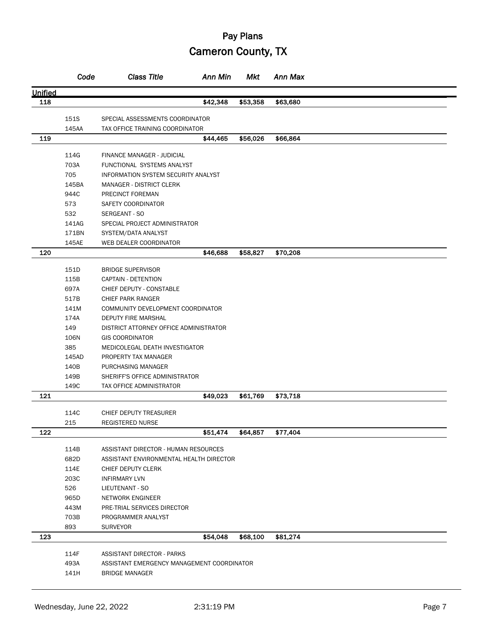|         | Code         | <b>Class Title</b>                            | Ann Min  | Mkt      | Ann Max  |  |
|---------|--------------|-----------------------------------------------|----------|----------|----------|--|
| Unified |              |                                               |          |          |          |  |
| 118     |              |                                               | \$42,348 | \$53,358 | \$63,680 |  |
|         |              |                                               |          |          |          |  |
|         | 151S         | SPECIAL ASSESSMENTS COORDINATOR               |          |          |          |  |
|         | 145AA        | TAX OFFICE TRAINING COORDINATOR               |          |          |          |  |
| 119     |              |                                               | \$44,465 | \$56,026 | \$66,864 |  |
|         | 114G         | <b>FINANCE MANAGER - JUDICIAL</b>             |          |          |          |  |
|         | 703A         | FUNCTIONAL SYSTEMS ANALYST                    |          |          |          |  |
|         | 705          | <b>INFORMATION SYSTEM SECURITY ANALYST</b>    |          |          |          |  |
|         | 145BA        | <b>MANAGER - DISTRICT CLERK</b>               |          |          |          |  |
|         | 944C         | PRECINCT FOREMAN                              |          |          |          |  |
|         | 573          | SAFETY COORDINATOR                            |          |          |          |  |
|         | 532          | SERGEANT - SO                                 |          |          |          |  |
|         | 141AG        | SPECIAL PROJECT ADMINISTRATOR                 |          |          |          |  |
|         | 171BN        | SYSTEM/DATA ANALYST                           |          |          |          |  |
|         | 145AE        | WEB DEALER COORDINATOR                        |          |          |          |  |
| 120     |              |                                               | \$46,688 | \$58,827 | \$70,208 |  |
|         |              |                                               |          |          |          |  |
|         | 151D         | <b>BRIDGE SUPERVISOR</b>                      |          |          |          |  |
|         | 115B<br>697A | CAPTAIN - DETENTION                           |          |          |          |  |
|         | 517B         | CHIEF DEPUTY - CONSTABLE<br>CHIEF PARK RANGER |          |          |          |  |
|         | 141M         | COMMUNITY DEVELOPMENT COORDINATOR             |          |          |          |  |
|         | 174A         | DEPUTY FIRE MARSHAL                           |          |          |          |  |
|         | 149          | DISTRICT ATTORNEY OFFICE ADMINISTRATOR        |          |          |          |  |
|         | 106N         | <b>GIS COORDINATOR</b>                        |          |          |          |  |
|         | 385          | MEDICOLEGAL DEATH INVESTIGATOR                |          |          |          |  |
|         | 145AD        | PROPERTY TAX MANAGER                          |          |          |          |  |
|         | 140B         | PURCHASING MANAGER                            |          |          |          |  |
|         | 149B         | SHERIFF'S OFFICE ADMINISTRATOR                |          |          |          |  |
|         | 149C         | <b>TAX OFFICE ADMINISTRATOR</b>               |          |          |          |  |
| 121     |              |                                               | \$49,023 | \$61,769 | \$73,718 |  |
|         |              |                                               |          |          |          |  |
|         | 114C         | CHIEF DEPUTY TREASURER                        |          |          |          |  |
|         | 215          | REGISTERED NURSE                              |          |          |          |  |
| 122     |              |                                               | \$51.474 | \$64,857 | \$77,404 |  |
|         | 114B         | ASSISTANT DIRECTOR - HUMAN RESOURCES          |          |          |          |  |
|         | 682D         | ASSISTANT ENVIRONMENTAL HEALTH DIRECTOR       |          |          |          |  |
|         | 114E         | CHIEF DEPUTY CLERK                            |          |          |          |  |
|         | 203C         | <b>INFIRMARY LVN</b>                          |          |          |          |  |
|         | 526          | LIEUTENANT - SO                               |          |          |          |  |
|         | 965D         | NETWORK ENGINEER                              |          |          |          |  |
|         | 443M         | PRE-TRIAL SERVICES DIRECTOR                   |          |          |          |  |
|         | 703B         | PROGRAMMER ANALYST                            |          |          |          |  |
|         | 893          | <b>SURVEYOR</b>                               |          |          |          |  |
| 123     |              |                                               | \$54,048 | \$68,100 | \$81,274 |  |
|         | 114F         | ASSISTANT DIRECTOR - PARKS                    |          |          |          |  |
|         | 493A         | ASSISTANT EMERGENCY MANAGEMENT COORDINATOR    |          |          |          |  |
|         | 141H         | <b>BRIDGE MANAGER</b>                         |          |          |          |  |
|         |              |                                               |          |          |          |  |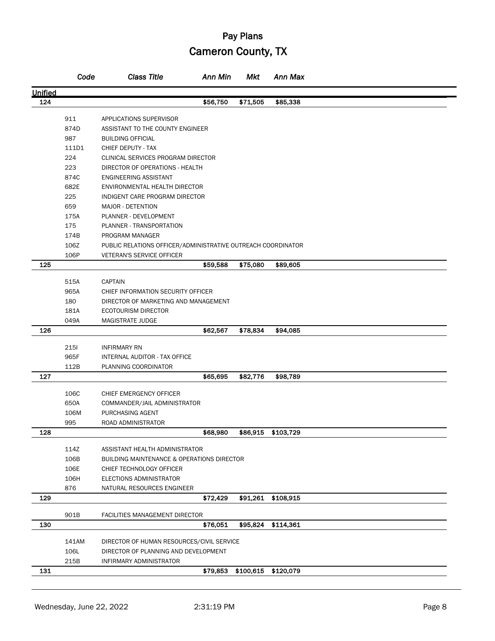|         | Code        | <b>Class Title</b>                                           | <b>Ann Min</b> | Mkt       | Ann Max   |  |
|---------|-------------|--------------------------------------------------------------|----------------|-----------|-----------|--|
| Unified |             |                                                              |                |           |           |  |
| 124     |             |                                                              | \$56,750       | \$71,505  | \$85,338  |  |
|         |             |                                                              |                |           |           |  |
|         | 911<br>874D | APPLICATIONS SUPERVISOR                                      |                |           |           |  |
|         |             | ASSISTANT TO THE COUNTY ENGINEER                             |                |           |           |  |
|         | 987         | <b>BUILDING OFFICIAL</b>                                     |                |           |           |  |
|         | 111D1       | CHIEF DEPUTY - TAX                                           |                |           |           |  |
|         | 224         | CLINICAL SERVICES PROGRAM DIRECTOR                           |                |           |           |  |
|         | 223         | DIRECTOR OF OPERATIONS - HEALTH                              |                |           |           |  |
|         | 874C        | ENGINEERING ASSISTANT                                        |                |           |           |  |
|         | 682E        | ENVIRONMENTAL HEALTH DIRECTOR                                |                |           |           |  |
|         | 225         | INDIGENT CARE PROGRAM DIRECTOR                               |                |           |           |  |
|         | 659         | MAJOR - DETENTION                                            |                |           |           |  |
|         | 175A        | PLANNER - DEVELOPMENT                                        |                |           |           |  |
|         | 175         | PLANNER - TRANSPORTATION                                     |                |           |           |  |
|         | 174B        | PROGRAM MANAGER                                              |                |           |           |  |
|         | 106Z        | PUBLIC RELATIONS OFFICER/ADMINISTRATIVE OUTREACH COORDINATOR |                |           |           |  |
|         | 106P        | <b>VETERAN'S SERVICE OFFICER</b>                             |                |           |           |  |
| 125     |             |                                                              | \$59,588       | \$75,080  | \$89,605  |  |
|         | 515A        | <b>CAPTAIN</b>                                               |                |           |           |  |
|         | 965A        | CHIEF INFORMATION SECURITY OFFICER                           |                |           |           |  |
|         | 180         | DIRECTOR OF MARKETING AND MANAGEMENT                         |                |           |           |  |
|         | 181A        | <b>ECOTOURISM DIRECTOR</b>                                   |                |           |           |  |
|         | 049A        | MAGISTRATE JUDGE                                             |                |           |           |  |
| 126     |             |                                                              | \$62,567       | \$78,834  | \$94,085  |  |
|         |             |                                                              |                |           |           |  |
|         | 2151        | <b>INFIRMARY RN</b>                                          |                |           |           |  |
|         | 965F        | INTERNAL AUDITOR - TAX OFFICE                                |                |           |           |  |
|         | 112B        | PLANNING COORDINATOR                                         |                |           |           |  |
| 127     |             |                                                              | \$65,695       | \$82,776  | \$98,789  |  |
|         | 106C        | CHIEF EMERGENCY OFFICER                                      |                |           |           |  |
|         | 650A        | COMMANDER/JAIL ADMINISTRATOR                                 |                |           |           |  |
|         | 106M        | PURCHASING AGENT                                             |                |           |           |  |
|         | 995         | ROAD ADMINISTRATOR                                           |                |           |           |  |
| 128     |             |                                                              | \$68,980       | \$86,915  | \$103,729 |  |
|         |             |                                                              |                |           |           |  |
|         | 114Z        | ASSISTANT HEALTH ADMINISTRATOR                               |                |           |           |  |
|         | 106B        | <b>BUILDING MAINTENANCE &amp; OPERATIONS DIRECTOR</b>        |                |           |           |  |
|         | 106E        | CHIEF TECHNOLOGY OFFICER                                     |                |           |           |  |
|         | 106H        | ELECTIONS ADMINISTRATOR                                      |                |           |           |  |
|         | 876         | NATURAL RESOURCES ENGINEER                                   |                |           |           |  |
| 129     |             |                                                              | \$72,429       | \$91,261  | \$108,915 |  |
|         |             |                                                              |                |           |           |  |
|         | 901B        | FACILITIES MANAGEMENT DIRECTOR                               |                |           |           |  |
| 130     |             |                                                              | \$76,051       | \$95,824  | \$114,361 |  |
|         | 141AM       | DIRECTOR OF HUMAN RESOURCES/CIVIL SERVICE                    |                |           |           |  |
|         | 106L        | DIRECTOR OF PLANNING AND DEVELOPMENT                         |                |           |           |  |
|         | 215B        | INFIRMARY ADMINISTRATOR                                      |                |           |           |  |
| 131     |             |                                                              | \$79,853       | \$100,615 | \$120,079 |  |
|         |             |                                                              |                |           |           |  |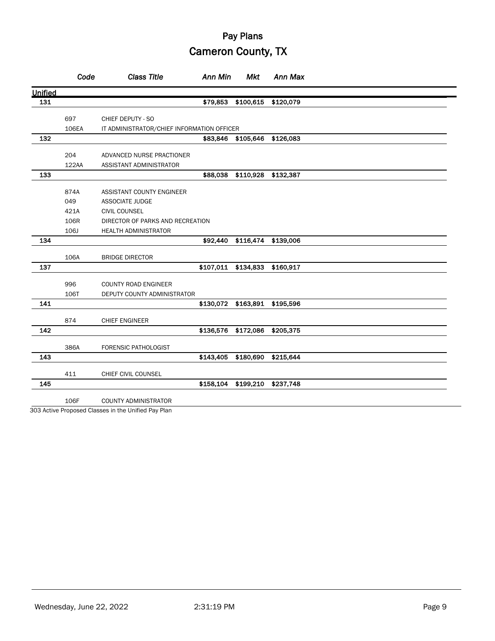|         | Code  | <b>Class Title</b>                         | Ann Min   | <b>Mkt</b>                    | Ann Max   |  |
|---------|-------|--------------------------------------------|-----------|-------------------------------|-----------|--|
| Unified |       |                                            |           |                               |           |  |
| 131     |       |                                            | \$79,853  | \$100,615                     | \$120,079 |  |
|         | 697   | CHIEF DEPUTY - SO                          |           |                               |           |  |
|         | 106EA | IT ADMINISTRATOR/CHIEF INFORMATION OFFICER |           |                               |           |  |
| 132     |       |                                            |           | \$83,846 \$105,646            | \$126,083 |  |
|         |       |                                            |           |                               |           |  |
|         | 204   | ADVANCED NURSE PRACTIONER                  |           |                               |           |  |
|         | 122AA | ASSISTANT ADMINISTRATOR                    |           |                               |           |  |
| 133     |       |                                            | \$88,038  | \$110,928                     | \$132,387 |  |
|         | 874A  | ASSISTANT COUNTY ENGINEER                  |           |                               |           |  |
|         | 049   | <b>ASSOCIATE JUDGE</b>                     |           |                               |           |  |
|         | 421A  | <b>CIVIL COUNSEL</b>                       |           |                               |           |  |
|         | 106R  | DIRECTOR OF PARKS AND RECREATION           |           |                               |           |  |
|         | 106J  | <b>HEALTH ADMINISTRATOR</b>                |           |                               |           |  |
| 134     |       |                                            |           | \$92,440 \$116,474 \$139,006  |           |  |
|         | 106A  | <b>BRIDGE DIRECTOR</b>                     |           |                               |           |  |
| 137     |       |                                            |           | \$107,011 \$134,833 \$160,917 |           |  |
|         |       |                                            |           |                               |           |  |
|         | 996   | <b>COUNTY ROAD ENGINEER</b>                |           |                               |           |  |
|         | 106T  | DEPUTY COUNTY ADMINISTRATOR                |           |                               |           |  |
| 141     |       |                                            |           | \$130,072 \$163,891 \$195,596 |           |  |
|         | 874   | <b>CHIEF ENGINEER</b>                      |           |                               |           |  |
| 142     |       |                                            |           | \$136,576 \$172,086           | \$205,375 |  |
|         | 386A  | <b>FORENSIC PATHOLOGIST</b>                |           |                               |           |  |
| 143     |       |                                            | \$143,405 | \$180,690                     | \$215,644 |  |
|         |       |                                            |           |                               |           |  |
|         | 411   | CHIEF CIVIL COUNSEL                        |           |                               |           |  |
| 145     |       |                                            | \$158,104 | \$199,210                     | \$237,748 |  |
|         | 106F  | <b>COUNTY ADMINISTRATOR</b>                |           |                               |           |  |

303 Active Proposed Classes in the Unified Pay Plan